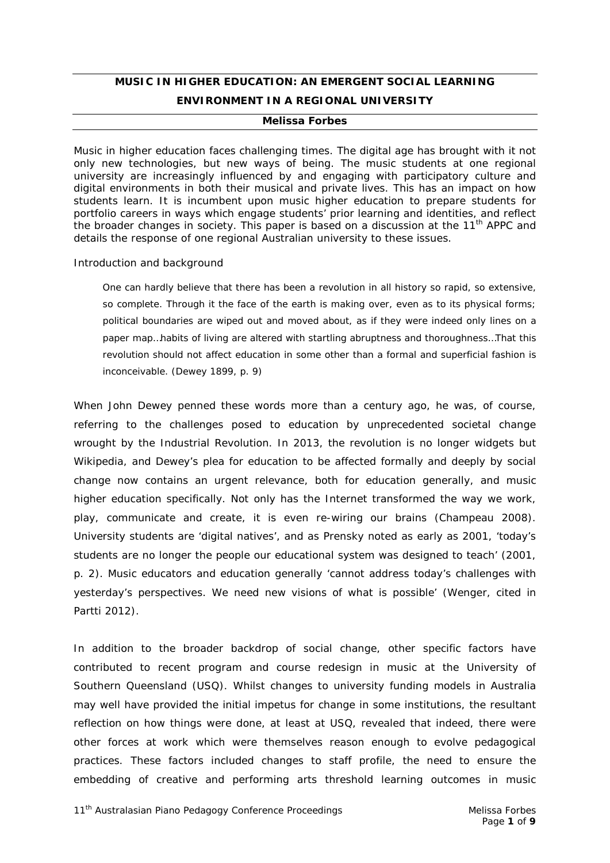# **MUSIC IN HIGHER EDUCATION: AN EMERGENT SOCIAL LEARNING ENVIRONMENT IN A REGIONAL UNIVERSITY**

#### *Melissa Forbes*

*Music in higher education faces challenging times. The digital age has brought with it not only new technologies, but new ways of being. The music students at one regional university are increasingly influenced by and engaging with participatory culture and digital environments in both their musical and private lives. This has an impact on how students learn. It is incumbent upon music higher education to prepare students for portfolio careers in ways which engage students' prior learning and identities, and reflect the broader changes in society. This paper is based on a discussion at the 11th APPC and details the response of one regional Australian university to these issues.*

#### *Introduction and background*

One can hardly believe that there has been a revolution in all history so rapid, so extensive, so complete. Through it the face of the earth is making over, even as to its physical forms; political boundaries are wiped out and moved about, as if they were indeed only lines on a paper map…habits of living are altered with startling abruptness and thoroughness…That this revolution should not affect education in some other than a formal and superficial fashion is inconceivable. (Dewey 1899, p. 9)

When John Dewey penned these words more than a century ago, he was, of course, referring to the challenges posed to education by unprecedented societal change wrought by the Industrial Revolution. In 2013, the revolution is no longer widgets but Wikipedia, and Dewey's plea for education to be affected formally and deeply by social change now contains an urgent relevance, both for education generally, and music higher education specifically. Not only has the Internet transformed the way we work, play, communicate and create, it is even re-wiring our brains (Champeau 2008). University students are 'digital natives', and as Prensky noted as early as 2001, 'today's students are no longer the people our educational system was designed to teach' (2001, p. 2). Music educators and education generally 'cannot address today's challenges with yesterday's perspectives. We need new visions of what is possible' (Wenger, cited in Partti 2012).

In addition to the broader backdrop of social change, other specific factors have contributed to recent program and course redesign in music at the University of Southern Queensland (USQ). Whilst changes to university funding models in Australia may well have provided the initial impetus for change in some institutions, the resultant reflection on how things were done, at least at USQ, revealed that indeed, there were other forces at work which were themselves reason enough to evolve pedagogical practices. These factors included changes to staff profile, the need to ensure the embedding of creative and performing arts threshold learning outcomes in music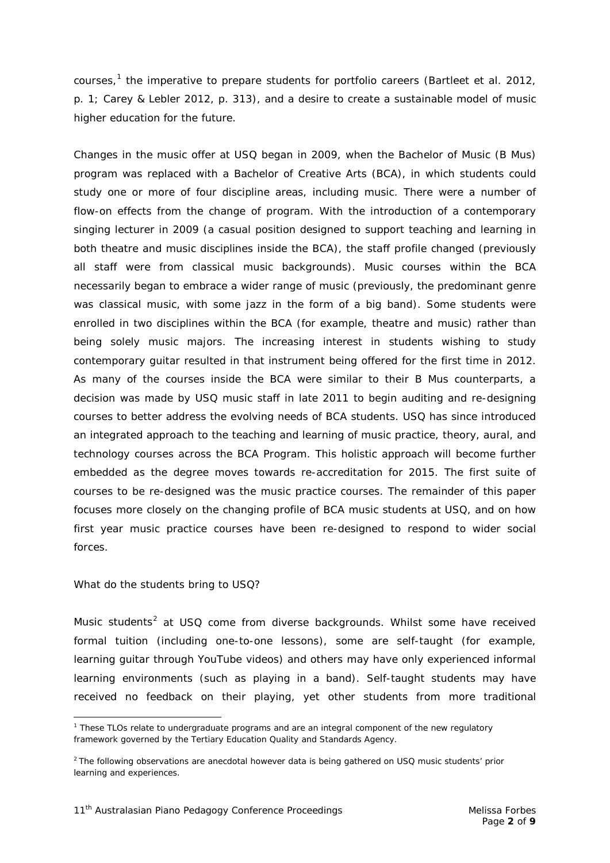courses,<sup>[1](#page-1-0)</sup> the imperative to prepare students for portfolio careers (Bartleet et al. 2012, p. 1; Carey & Lebler 2012, p. 313), and a desire to create a sustainable model of music higher education for the future.

Changes in the music offer at USQ began in 2009, when the Bachelor of Music (B Mus) program was replaced with a Bachelor of Creative Arts (BCA), in which students could study one or more of four discipline areas, including music. There were a number of flow-on effects from the change of program. With the introduction of a contemporary singing lecturer in 2009 (a casual position designed to support teaching and learning in both theatre and music disciplines inside the BCA), the staff profile changed (previously all staff were from classical music backgrounds). Music courses within the BCA necessarily began to embrace a wider range of music (previously, the predominant genre was classical music, with some jazz in the form of a big band). Some students were enrolled in two disciplines within the BCA (for example, theatre *and* music) rather than being solely music majors. The increasing interest in students wishing to study contemporary guitar resulted in that instrument being offered for the first time in 2012. As many of the courses inside the BCA were similar to their B Mus counterparts, a decision was made by USQ music staff in late 2011 to begin auditing and re-designing courses to better address the evolving needs of BCA students. USQ has since introduced an integrated approach to the teaching and learning of music practice, theory, aural, and technology courses across the BCA Program. This holistic approach will become further embedded as the degree moves towards re-accreditation for 2015. The first suite of courses to be re-designed was the music practice courses. The remainder of this paper focuses more closely on the changing profile of BCA music students at USQ, and on how first year music practice courses have been re-designed to respond to wider social forces.

# *What do the students bring to USQ?*

Music students<sup>[2](#page-1-1)</sup> at USQ come from diverse backgrounds. Whilst some have received formal tuition (including one-to-one lessons), some are self-taught (for example, learning guitar through YouTube videos) and others may have only experienced informal learning environments (such as playing in a band). Self-taught students may have received no feedback on their playing, yet other students from more traditional

<span id="page-1-0"></span> $\overline{a}$ <sup>1</sup> These TLOs relate to undergraduate programs and are an integral component of the new regulatory framework governed by the Tertiary Education Quality and Standards Agency.

<span id="page-1-1"></span><sup>&</sup>lt;sup>2</sup> The following observations are anecdotal however data is being gathered on USQ music students' prior learning and experiences.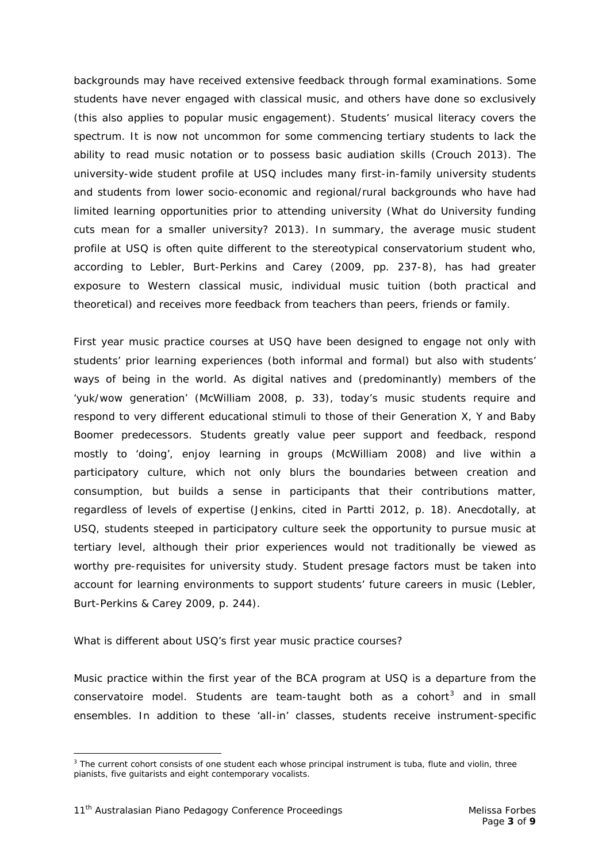backgrounds may have received extensive feedback through formal examinations. Some students have never engaged with classical music, and others have done so exclusively (this also applies to popular music engagement). Students' musical literacy covers the spectrum. It is now not uncommon for some commencing tertiary students to lack the ability to read music notation or to possess basic audiation skills (Crouch 2013). The university-wide student profile at USQ includes many first-in-family university students and students from lower socio-economic and regional/rural backgrounds who have had limited learning opportunities prior to attending university (*What do University funding cuts mean for a smaller university?* 2013). In summary, the average music student profile at USQ is often quite different to the stereotypical conservatorium student who, according to Lebler, Burt-Perkins and Carey (2009, pp. 237-8), has had greater exposure to Western classical music, individual music tuition (both practical and theoretical) and receives more feedback from teachers than peers, friends or family.

First year music practice courses at USQ have been designed to engage not only with students' prior learning experiences (both informal and formal) but also with students' ways of being in the world. As digital natives and (predominantly) members of the 'yuk/wow generation' (McWilliam 2008, p. 33), today's music students require and respond to very different educational stimuli to those of their Generation X, Y and Baby Boomer predecessors. Students greatly value peer support and feedback, respond mostly to 'doing', enjoy learning in groups (McWilliam 2008) and live within a participatory culture, which not only blurs the boundaries between creation and consumption, but builds a sense in participants that their contributions matter, regardless of levels of expertise (Jenkins, cited in Partti 2012, p. 18). Anecdotally, at USQ, students steeped in participatory culture seek the opportunity to pursue music at tertiary level, although their prior experiences would not traditionally be viewed as worthy pre-requisites for university study. Student presage factors must be taken into account for learning environments to support students' future careers in music (Lebler, Burt-Perkins & Carey 2009, p. 244).

# *What is different about USQ's first year music practice courses?*

Music practice within the first year of the BCA program at USQ is a departure from the conservatoire model. Students are team-taught both as a cohort<sup>[3](#page-2-0)</sup> and in small ensembles. In addition to these 'all-in' classes, students receive instrument-specific

<span id="page-2-0"></span> $\overline{a}$ <sup>3</sup> The current cohort consists of one student each whose principal instrument is tuba, flute and violin, three pianists, five guitarists and eight contemporary vocalists.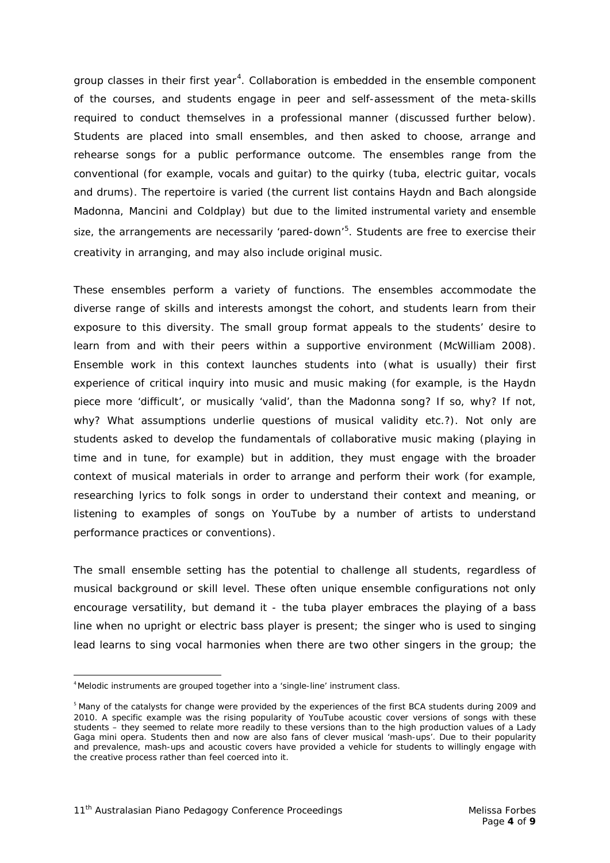group classes in their first year<sup>[4](#page-3-0)</sup>. Collaboration is embedded in the ensemble component of the courses, and students engage in peer and self-assessment of the meta-skills required to conduct themselves in a professional manner (discussed further below). Students are placed into small ensembles, and then asked to choose, arrange and rehearse songs for a public performance outcome. The ensembles range from the conventional (for example, vocals and guitar) to the quirky (tuba, electric guitar, vocals and drums). The repertoire is varied (the current list contains Haydn and Bach alongside Madonna, Mancini and Coldplay) but due to the limited instrumental variety and ensemble size, the arrangements are necessarily 'pared-down'<sup>[5](#page-3-1)</sup>. Students are free to exercise their creativity in arranging, and may also include original music.

These ensembles perform a variety of functions. The ensembles accommodate the diverse range of skills and interests amongst the cohort, and students learn from their exposure to this diversity. The small group format appeals to the students' desire to learn from and with their peers within a supportive environment (McWilliam 2008). Ensemble work in this context launches students into (what is usually) their first experience of critical inquiry into music and music making (for example, is the Haydn piece more 'difficult', or musically 'valid', than the Madonna song? If so, why? If not, why? What assumptions underlie questions of musical validity etc.?). Not only are students asked to develop the fundamentals of collaborative music making (playing in time and in tune, for example) but in addition, they must engage with the broader context of musical materials in order to arrange and perform their work (for example, researching lyrics to folk songs in order to understand their context and meaning, or listening to examples of songs on YouTube by a number of artists to understand performance practices or conventions).

The small ensemble setting has the potential to challenge all students, regardless of musical background or skill level. These often unique ensemble configurations not only encourage versatility, but demand it - the tuba player embraces the playing of a bass line when no upright or electric bass player is present; the singer who is used to singing lead learns to sing vocal harmonies when there are two other singers in the group; the

<span id="page-3-0"></span> $\frac{1}{4}$ <sup>4</sup>Melodic instruments are grouped together into a 'single-line' instrument class.

<span id="page-3-1"></span><sup>&</sup>lt;sup>5</sup> Many of the catalysts for change were provided by the experiences of the first BCA students during 2009 and 2010. A specific example was the rising popularity of YouTube acoustic cover versions of songs with these students – they seemed to relate more readily to these versions than to the high production values of a Lady Gaga mini opera. Students then and now are also fans of clever musical 'mash-ups'. Due to their popularity and prevalence, mash-ups and acoustic covers have provided a vehicle for students to willingly engage with the creative process rather than feel coerced into it.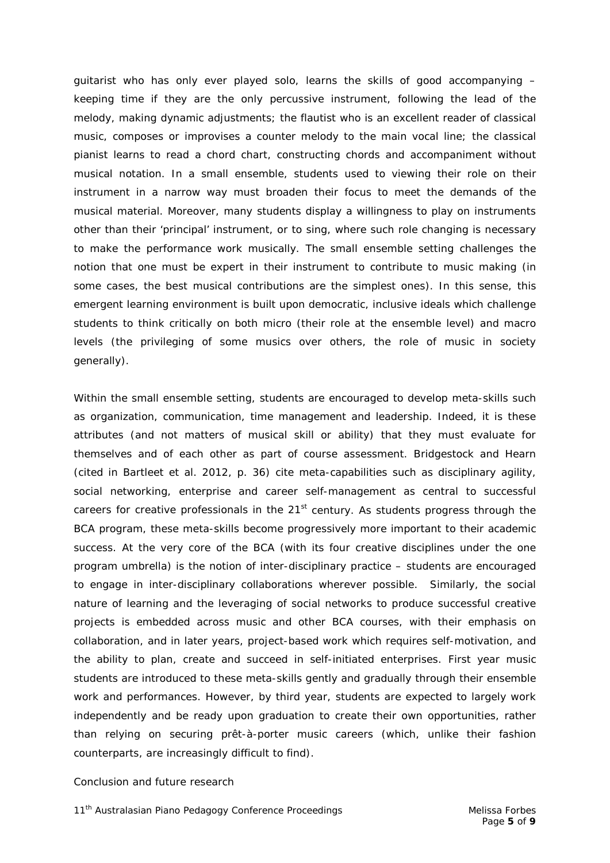guitarist who has only ever played solo, learns the skills of good accompanying – keeping time if they are the only percussive instrument, following the lead of the melody, making dynamic adjustments; the flautist who is an excellent reader of classical music, composes or improvises a counter melody to the main vocal line; the classical pianist learns to read a chord chart, constructing chords and accompaniment without musical notation. In a small ensemble, students used to viewing their role on their instrument in a narrow way must broaden their focus to meet the demands of the musical material. Moreover, many students display a willingness to play on instruments other than their 'principal' instrument, or to sing, where such role changing is necessary to make the performance work musically. The small ensemble setting challenges the notion that one must be expert in their instrument to contribute to music making (in some cases, the best musical contributions are the simplest ones). In this sense, this emergent learning environment is built upon democratic, inclusive ideals which challenge students to think critically on both micro (their role at the ensemble level) and macro levels (the privileging of some musics over others, the role of music in society generally).

Within the small ensemble setting, students are encouraged to develop meta-skills such as organization, communication, time management and leadership. Indeed, it is these attributes (and not matters of musical skill or ability) that they must evaluate for themselves and of each other as part of course assessment. Bridgestock and Hearn (cited in Bartleet et al. 2012, p. 36) cite meta-capabilities such as disciplinary agility, social networking, enterprise and career self-management as central to successful careers for creative professionals in the  $21<sup>st</sup>$  century. As students progress through the BCA program, these meta-skills become progressively more important to their academic success. At the very core of the BCA (with its four creative disciplines under the one program umbrella) is the notion of inter-disciplinary practice – students are encouraged to engage in inter-disciplinary collaborations wherever possible. Similarly, the social nature of learning and the leveraging of social networks to produce successful creative projects is embedded across music and other BCA courses, with their emphasis on collaboration, and in later years, project-based work which requires self-motivation, and the ability to plan, create and succeed in self-initiated enterprises. First year music students are introduced to these meta-skills gently and gradually through their ensemble work and performances. However, by third year, students are expected to largely work independently and be ready upon graduation to create their own opportunities, rather than relying on securing *prêt-à-porter* music careers (which, unlike their fashion counterparts, are increasingly difficult to find).

#### *Conclusion and future research*

*11th Australasian Piano Pedagogy Conference Proceedings Melissa Forbes*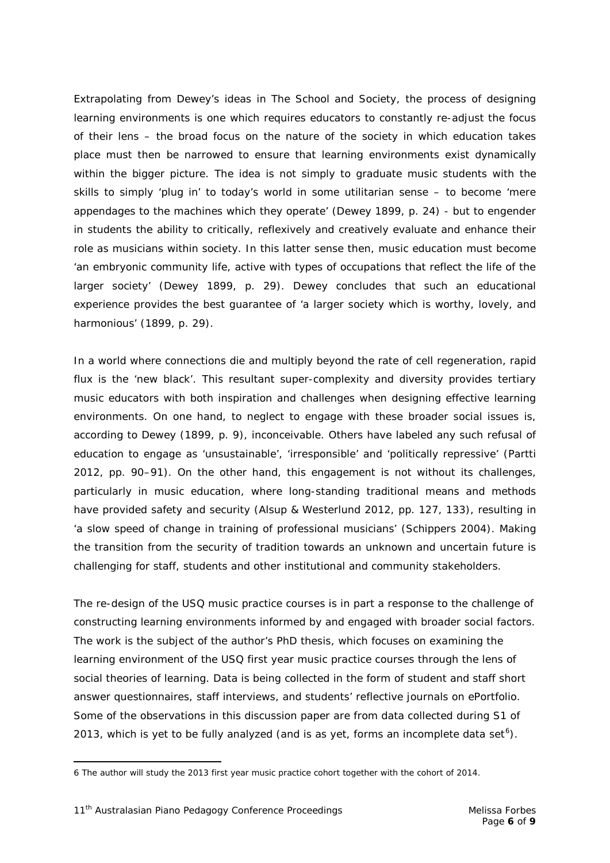Extrapolating from Dewey's ideas in *The School and Society*, the process of designing learning environments is one which requires educators to constantly re-adjust the focus of their lens – the broad focus on the nature of the society in which education takes place must then be narrowed to ensure that learning environments exist dynamically within the bigger picture. The idea is not simply to graduate music students with the skills to simply 'plug in' to today's world in some utilitarian sense – to become 'mere appendages to the machines which they operate' (Dewey 1899, p. 24) - but to engender in students the ability to critically, reflexively and creatively evaluate and enhance their role as musicians within society. In this latter sense then, music education must become 'an embryonic community life, active with types of occupations that reflect the life of the larger society' (Dewey 1899, p. 29). Dewey concludes that such an educational experience provides the best guarantee of 'a larger society which is worthy, lovely, and harmonious' (1899, p. 29).

In a world where connections die and multiply beyond the rate of cell regeneration, rapid flux is the 'new black'. This resultant super-complexity and diversity provides tertiary music educators with both inspiration and challenges when designing effective learning environments. On one hand, to neglect to engage with these broader social issues is, according to Dewey (1899, p. 9), inconceivable. Others have labeled any such refusal of education to engage as 'unsustainable', 'irresponsible' and 'politically repressive' (Partti 2012, pp. 90–91). On the other hand, this engagement is not without its challenges, particularly in music education, where long-standing traditional means and methods have provided safety and security (Alsup & Westerlund 2012, pp. 127, 133), resulting in 'a slow speed of change in training of professional musicians' (Schippers 2004). Making the transition from the security of tradition towards an unknown and uncertain future is challenging for staff, students and other institutional and community stakeholders.

The re-design of the USQ music practice courses is in part a response to the challenge of constructing learning environments informed by and engaged with broader social factors. The work is the subject of the author's PhD thesis, which focuses on examining the learning environment of the USQ first year music practice courses through the lens of social theories of learning. Data is being collected in the form of student and staff short answer questionnaires, staff interviews, and students' reflective journals on ePortfolio. Some of the observations in this discussion paper are from data collected during S1 of 2013, which is yet to be fully analyzed (and is as yet, forms an incomplete data set $6$ ).

 $\overline{a}$ 

<span id="page-5-0"></span><sup>6</sup> The author will study the 2013 first year music practice cohort together with the cohort of 2014.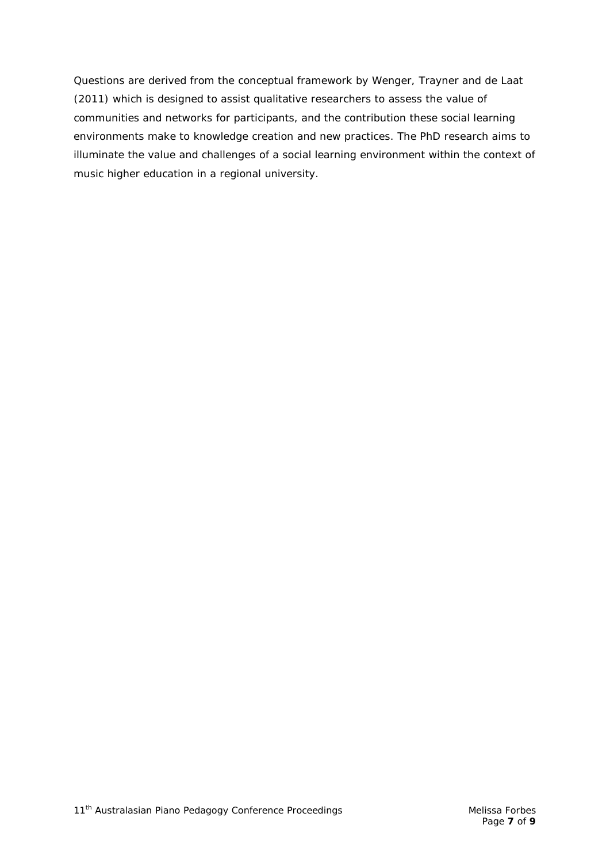Questions are derived from the conceptual framework by Wenger, Trayner and de Laat (2011) which is designed to assist qualitative researchers to assess the value of communities and networks for participants, and the contribution these social learning environments make to knowledge creation and new practices. The PhD research aims to illuminate the value and challenges of a social learning environment within the context of music higher education in a regional university.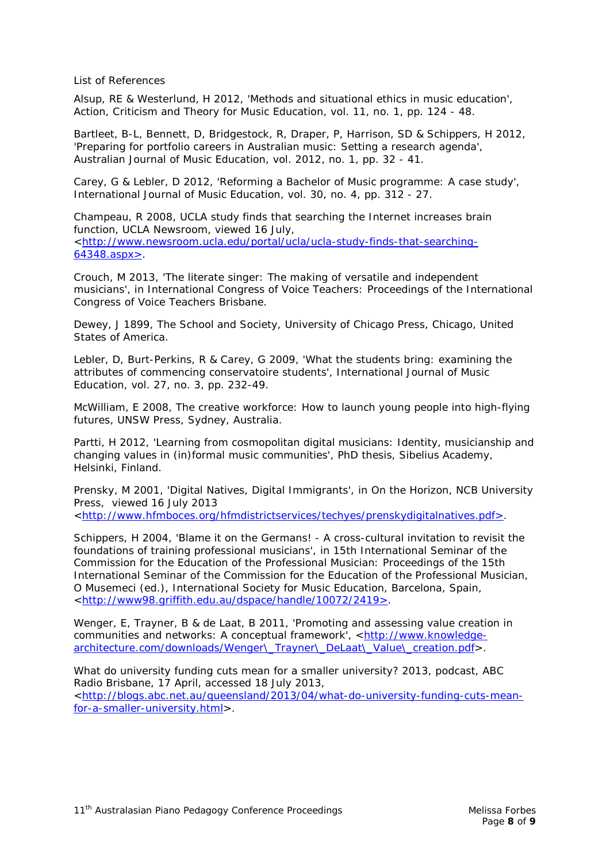List of References

Alsup, RE & Westerlund, H 2012, 'Methods and situational ethics in music education', *Action, Criticism and Theory for Music Education*, vol. 11, no. 1, pp. 124 - 48.

Bartleet, B-L, Bennett, D, Bridgestock, R, Draper, P, Harrison, SD & Schippers, H 2012, 'Preparing for portfolio careers in Australian music: Setting a research agenda', *Australian Journal of Music Education*, vol. 2012, no. 1, pp. 32 - 41.

Carey, G & Lebler, D 2012, 'Reforming a Bachelor of Music programme: A case study', *International Journal of Music Education*, vol. 30, no. 4, pp. 312 - 27.

Champeau, R 2008, *UCLA study finds that searching the Internet increases brain function*, UCLA Newsroom, viewed 16 July, [<http://www.newsroom.ucla.edu/portal/ucla/ucla-study-finds-that-searching-](http://www.newsroom.ucla.edu/portal/ucla/ucla-study-finds-that-searching-64348.aspx%3e)[64348.aspx>.](http://www.newsroom.ucla.edu/portal/ucla/ucla-study-finds-that-searching-64348.aspx%3e)

Crouch, M 2013, 'The literate singer: The making of versatile and independent musicians', in International Congress of Voice Teachers: *Proceedings of the International Congress of Voice Teachers* Brisbane.

Dewey, J 1899, *The School and Society*, University of Chicago Press, Chicago, United States of America.

Lebler, D, Burt-Perkins, R & Carey, G 2009, 'What the students bring: examining the attributes of commencing conservatoire students', *International Journal of Music Education*, vol. 27, no. 3, pp. 232-49.

McWilliam, E 2008, *The creative workforce: How to launch young people into high-flying futures*, UNSW Press, Sydney, Australia.

Partti, H 2012, 'Learning from cosmopolitan digital musicians: Identity, musicianship and changing values in (in)formal music communities', PhD thesis, Sibelius Academy, Helsinki, Finland.

Prensky, M 2001, 'Digital Natives, Digital Immigrants', in *On the Horizon*, NCB University Press, viewed 16 July 2013

[<http://www.hfmboces.org/hfmdistrictservices/techyes/prenskydigitalnatives.pdf>.](http://www.hfmboces.org/hfmdistrictservices/techyes/prenskydigitalnatives.pdf%3e)

Schippers, H 2004, 'Blame it on the Germans! - A cross-cultural invitation to revisit the foundations of training professional musicians', in 15th International Seminar of the Commission for the Education of the Professional Musician: *Proceedings of the 15th International Seminar of the Commission for the Education of the Professional Musician*, O Musemeci (ed.), International Society for Music Education, Barcelona, Spain, [<http://www98.griffith.edu.au/dspace/handle/10072/2419>.](http://www98.griffith.edu.au/dspace/handle/10072/2419%3e)

Wenger, E, Trayner, B & de Laat, B 2011, 'Promoting and assessing value creation in communities and networks: A conceptual framework', [<http://www.knowledge](http://www.knowledge-architecture.com/downloads/Wenger/_Trayner/_DeLaat/_Value/_creation.pdf)[architecture.com/downloads/Wenger\\\_Trayner\\\_DeLaat\\\_Value\\\_creation.pdf>](http://www.knowledge-architecture.com/downloads/Wenger/_Trayner/_DeLaat/_Value/_creation.pdf).

*What do university funding cuts mean for a smaller university?* 2013, podcast, ABC Radio Brisbane, 17 April, accessed 18 July 2013,

[<http://blogs.abc.net.au/queensland/2013/04/what-do-university-funding-cuts-mean](http://blogs.abc.net.au/queensland/2013/04/what-do-university-funding-cuts-mean-for-a-smaller-university.html)[for-a-smaller-university.html>](http://blogs.abc.net.au/queensland/2013/04/what-do-university-funding-cuts-mean-for-a-smaller-university.html).